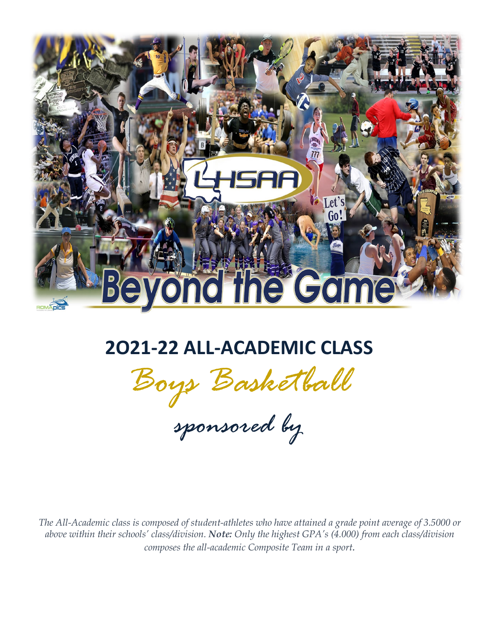

# **2O21-22 ALL-ACADEMIC CLASS**

*Boys Basketball*

*sponsored by*

 *The All-Academic class is composed of student-athletes who have attained a grade point average of 3.5000 or above within their schools' class/division. Note: Only the highest GPA's (4.000) from each class/division composes the all-academic Composite Team in a sport.*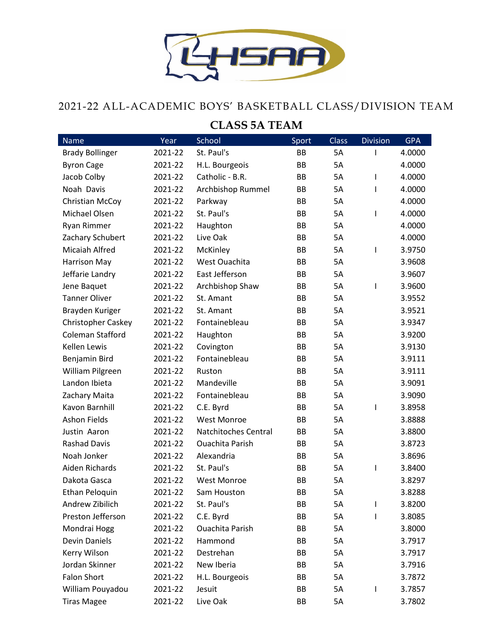

## 2021-22 ALL-ACADEMIC BOYS' BASKETBALL CLASS/DIVISION TEAM

#### **CLASS 5A TEAM**

| <b>Name</b>            | Year    | School                 | Sport | <b>Class</b> | <b>Division</b>          | <b>GPA</b> |
|------------------------|---------|------------------------|-------|--------------|--------------------------|------------|
| <b>Brady Bollinger</b> | 2021-22 | St. Paul's             | BB    | <b>5A</b>    | I                        | 4.0000     |
| <b>Byron Cage</b>      | 2021-22 | H.L. Bourgeois         | BB    | 5A           |                          | 4.0000     |
| Jacob Colby            | 2021-22 | Catholic - B.R.        | BB    | 5A           | T                        | 4.0000     |
| Noah Davis             | 2021-22 | Archbishop Rummel      | BB    | 5A           | T                        | 4.0000     |
| Christian McCoy        | 2021-22 | Parkway                | BB    | 5A           |                          | 4.0000     |
| Michael Olsen          | 2021-22 | St. Paul's             | BB    | 5A           | $\overline{\phantom{a}}$ | 4.0000     |
| Ryan Rimmer            | 2021-22 | Haughton               | BB    | 5A           |                          | 4.0000     |
| Zachary Schubert       | 2021-22 | Live Oak               | BB    | 5A           |                          | 4.0000     |
| Micaiah Alfred         | 2021-22 | McKinley               | BB    | 5A           | 1                        | 3.9750     |
| <b>Harrison May</b>    | 2021-22 | West Ouachita          | BB    | 5A           |                          | 3.9608     |
| Jeffarie Landry        | 2021-22 | East Jefferson         | BB    | 5A           |                          | 3.9607     |
| Jene Baquet            | 2021-22 | Archbishop Shaw        | BB    | 5A           | $\overline{\phantom{a}}$ | 3.9600     |
| <b>Tanner Oliver</b>   | 2021-22 | St. Amant              | BB    | 5A           |                          | 3.9552     |
| Brayden Kuriger        | 2021-22 | St. Amant              | BB    | 5A           |                          | 3.9521     |
| Christopher Caskey     | 2021-22 | Fontainebleau          | BB    | 5A           |                          | 3.9347     |
| Coleman Stafford       | 2021-22 | Haughton               | BB    | 5A           |                          | 3.9200     |
| Kellen Lewis           | 2021-22 | Covington              | BB    | 5A           |                          | 3.9130     |
| Benjamin Bird          | 2021-22 | Fontainebleau          | BB    | 5A           |                          | 3.9111     |
| William Pilgreen       | 2021-22 | Ruston                 | BB    | 5A           |                          | 3.9111     |
| Landon Ibieta          | 2021-22 | Mandeville             | BB    | 5A           |                          | 3.9091     |
| Zachary Maita          | 2021-22 | Fontainebleau          | BB    | 5A           |                          | 3.9090     |
| Kavon Barnhill         | 2021-22 | C.E. Byrd              | BB    | 5A           | 1                        | 3.8958     |
| <b>Ashon Fields</b>    | 2021-22 | <b>West Monroe</b>     | BB    | 5A           |                          | 3.8888     |
| Justin Aaron           | 2021-22 | Natchitoches Central   | BB    | 5A           |                          | 3.8800     |
| <b>Rashad Davis</b>    | 2021-22 | <b>Ouachita Parish</b> | BB    | 5A           |                          | 3.8723     |
| Noah Jonker            | 2021-22 | Alexandria             | BB    | 5A           |                          | 3.8696     |
| Aiden Richards         | 2021-22 | St. Paul's             | BB    | 5A           | 1                        | 3.8400     |
| Dakota Gasca           | 2021-22 | <b>West Monroe</b>     | BB    | 5A           |                          | 3.8297     |
| Ethan Peloquin         | 2021-22 | Sam Houston            | BB    | 5A           |                          | 3.8288     |
| Andrew Zibilich        | 2021-22 | St. Paul's             | ВB    | 5A           | T                        | 3.8200     |
| Preston Jefferson      | 2021-22 | C.E. Byrd              | ВB    | 5A           | I.                       | 3.8085     |
| Mondrai Hogg           | 2021-22 | <b>Ouachita Parish</b> | ВB    | 5A           |                          | 3.8000     |
| <b>Devin Daniels</b>   | 2021-22 | Hammond                | ВB    | 5A           |                          | 3.7917     |
| Kerry Wilson           | 2021-22 | Destrehan              | ВB    | 5A           |                          | 3.7917     |
| Jordan Skinner         | 2021-22 | New Iberia             | ВB    | 5A           |                          | 3.7916     |
| <b>Falon Short</b>     | 2021-22 | H.L. Bourgeois         | ВB    | 5A           |                          | 3.7872     |
| William Pouyadou       | 2021-22 | Jesuit                 | ВB    | 5A           | I                        | 3.7857     |
| <b>Tiras Magee</b>     | 2021-22 | Live Oak               | ВB    | 5A           |                          | 3.7802     |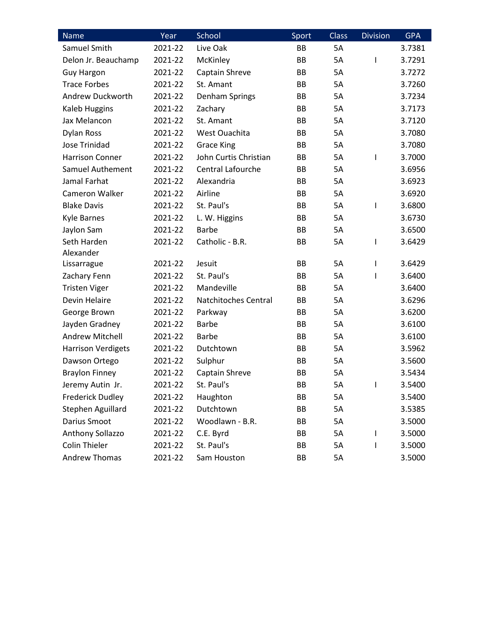| Name                      | Year    | School                   | Sport | <b>Class</b> | <b>Division</b> | <b>GPA</b> |
|---------------------------|---------|--------------------------|-------|--------------|-----------------|------------|
| Samuel Smith              | 2021-22 | Live Oak                 | BB    | <b>5A</b>    |                 | 3.7381     |
| Delon Jr. Beauchamp       | 2021-22 | McKinley                 | BB    | 5A           | ı               | 3.7291     |
| <b>Guy Hargon</b>         | 2021-22 | Captain Shreve           | BB    | 5A           |                 | 3.7272     |
| <b>Trace Forbes</b>       | 2021-22 | St. Amant                | BB    | <b>5A</b>    |                 | 3.7260     |
| Andrew Duckworth          | 2021-22 | Denham Springs           | BB    | 5A           |                 | 3.7234     |
| Kaleb Huggins             | 2021-22 | Zachary                  | BB    | 5A           |                 | 3.7173     |
| Jax Melancon              | 2021-22 | St. Amant                | BB    | 5A           |                 | 3.7120     |
| Dylan Ross                | 2021-22 | West Ouachita            | BB    | 5A           |                 | 3.7080     |
| <b>Jose Trinidad</b>      | 2021-22 | <b>Grace King</b>        | BB    | 5A           |                 | 3.7080     |
| <b>Harrison Conner</b>    | 2021-22 | John Curtis Christian    | BB    | 5A           | ı               | 3.7000     |
| Samuel Authement          | 2021-22 | <b>Central Lafourche</b> | BB    | 5A           |                 | 3.6956     |
| Jamal Farhat              | 2021-22 | Alexandria               | BB    | <b>5A</b>    |                 | 3.6923     |
| Cameron Walker            | 2021-22 | Airline                  | BB    | 5A           |                 | 3.6920     |
| <b>Blake Davis</b>        | 2021-22 | St. Paul's               | BB    | 5A           | ı               | 3.6800     |
| <b>Kyle Barnes</b>        | 2021-22 | L. W. Higgins            | BB    | 5A           |                 | 3.6730     |
| Jaylon Sam                | 2021-22 | <b>Barbe</b>             | BB    | <b>5A</b>    |                 | 3.6500     |
| Seth Harden               | 2021-22 | Catholic - B.R.          | BB    | 5A           | ı               | 3.6429     |
| Alexander                 |         |                          |       |              |                 |            |
| Lissarrague               | 2021-22 | Jesuit                   | BB    | <b>5A</b>    | ı               | 3.6429     |
| Zachary Fenn              | 2021-22 | St. Paul's               | BB    | 5A           | ı               | 3.6400     |
| <b>Tristen Viger</b>      | 2021-22 | Mandeville               | BB    | 5A           |                 | 3.6400     |
| Devin Helaire             | 2021-22 | Natchitoches Central     | BB    | 5A           |                 | 3.6296     |
| George Brown              | 2021-22 | Parkway                  | BB    | 5A           |                 | 3.6200     |
| Jayden Gradney            | 2021-22 | Barbe                    | BB    | 5A           |                 | 3.6100     |
| <b>Andrew Mitchell</b>    | 2021-22 | <b>Barbe</b>             | BB    | <b>5A</b>    |                 | 3.6100     |
| <b>Harrison Verdigets</b> | 2021-22 | Dutchtown                | BB    | 5A           |                 | 3.5962     |
| Dawson Ortego             | 2021-22 | Sulphur                  | BB    | 5A           |                 | 3.5600     |
| <b>Braylon Finney</b>     | 2021-22 | Captain Shreve           | BB    | 5A           |                 | 3.5434     |
| Jeremy Autin Jr.          | 2021-22 | St. Paul's               | BB    | 5A           | I               | 3.5400     |
| <b>Frederick Dudley</b>   | 2021-22 | Haughton                 | BB    | 5A           |                 | 3.5400     |
| Stephen Aguillard         | 2021-22 | Dutchtown                | BB    | 5A           |                 | 3.5385     |
| Darius Smoot              | 2021-22 | Woodlawn - B.R.          | BB    | 5A           |                 | 3.5000     |
| Anthony Sollazzo          | 2021-22 | C.E. Byrd                | BB    | 5A           | I               | 3.5000     |
| <b>Colin Thieler</b>      | 2021-22 | St. Paul's               | BB    | 5A           | ı               | 3.5000     |
| Andrew Thomas             | 2021-22 | Sam Houston              | BB    | 5A           |                 | 3.5000     |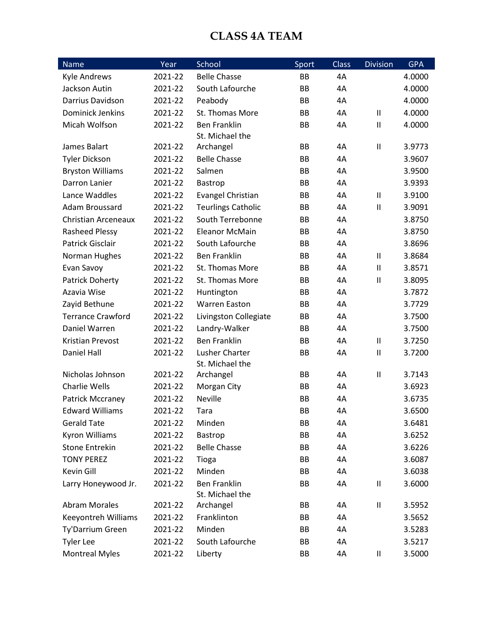#### **CLASS 4A TEAM**

| <b>Name</b>              | Year    | School                    | Sport     | <b>Class</b> | <b>Division</b>                       | <b>GPA</b> |
|--------------------------|---------|---------------------------|-----------|--------------|---------------------------------------|------------|
| Kyle Andrews             | 2021-22 | <b>Belle Chasse</b>       | BB        | 4A           |                                       | 4.0000     |
| Jackson Autin            | 2021-22 | South Lafourche           | <b>BB</b> | 4A           |                                       | 4.0000     |
| Darrius Davidson         | 2021-22 | Peabody                   | BB        | 4A           |                                       | 4.0000     |
| <b>Dominick Jenkins</b>  | 2021-22 | St. Thomas More           | BB        | 4A           | $\mathbf{I}$                          | 4.0000     |
| Micah Wolfson            | 2021-22 | <b>Ben Franklin</b>       | BB        | 4A           | $\mathbf{I}$                          | 4.0000     |
|                          |         | St. Michael the           |           |              |                                       |            |
| James Balart             | 2021-22 | Archangel                 | BB        | 4A           | $\mathbf{II}$                         | 3.9773     |
| <b>Tyler Dickson</b>     | 2021-22 | <b>Belle Chasse</b>       | BB        | 4A           |                                       | 3.9607     |
| <b>Bryston Williams</b>  | 2021-22 | Salmen                    | BB        | 4A           |                                       | 3.9500     |
| Darron Lanier            | 2021-22 | Bastrop                   | BB        | 4A           |                                       | 3.9393     |
| Lance Waddles            | 2021-22 | Evangel Christian         | BB        | 4A           | $\sf II$                              | 3.9100     |
| Adam Broussard           | 2021-22 | <b>Teurlings Catholic</b> | BB        | 4A           | $\mathbf{I}$                          | 3.9091     |
| Christian Arceneaux      | 2021-22 | South Terrebonne          | BB        | 4A           |                                       | 3.8750     |
| <b>Rasheed Plessy</b>    | 2021-22 | <b>Eleanor McMain</b>     | BB        | 4A           |                                       | 3.8750     |
| <b>Patrick Gisclair</b>  | 2021-22 | South Lafourche           | BB        | 4A           |                                       | 3.8696     |
| Norman Hughes            | 2021-22 | <b>Ben Franklin</b>       | BB        | 4A           | $\mathbf{II}$                         | 3.8684     |
| Evan Savoy               | 2021-22 | St. Thomas More           | BB        | 4A           | $\mathbf{I}$                          | 3.8571     |
| Patrick Doherty          | 2021-22 | St. Thomas More           | BB        | 4A           | $\mathbf{II}$                         | 3.8095     |
| Azavia Wise              | 2021-22 | Huntington                | BB        | 4A           |                                       | 3.7872     |
| Zayid Bethune            | 2021-22 | <b>Warren Easton</b>      | BB        | 4A           |                                       | 3.7729     |
| <b>Terrance Crawford</b> | 2021-22 | Livingston Collegiate     | BB        | 4A           |                                       | 3.7500     |
| Daniel Warren            | 2021-22 | Landry-Walker             | BB        | 4A           |                                       | 3.7500     |
| <b>Kristian Prevost</b>  | 2021-22 | <b>Ben Franklin</b>       | <b>BB</b> | 4A           | $\sf II$                              | 3.7250     |
| Daniel Hall              | 2021-22 | Lusher Charter            | BB        | 4A           | $\begin{array}{c} \hline \end{array}$ | 3.7200     |
|                          |         | St. Michael the           |           |              |                                       |            |
| Nicholas Johnson         | 2021-22 | Archangel                 | BB        | 4A           | $\mathbf{I}$                          | 3.7143     |
| Charlie Wells            | 2021-22 | Morgan City               | BB        | 4A           |                                       | 3.6923     |
| Patrick Mccraney         | 2021-22 | <b>Neville</b>            | <b>BB</b> | 4A           |                                       | 3.6735     |
| <b>Edward Williams</b>   | 2021-22 | Tara                      | BB        | 4A           |                                       | 3.6500     |
| <b>Gerald Tate</b>       | 2021-22 | Minden                    | BB        | 4A           |                                       | 3.6481     |
| Kyron Williams           | 2021-22 | Bastrop                   | BB        | 4A           |                                       | 3.6252     |
| <b>Stone Entrekin</b>    | 2021-22 | <b>Belle Chasse</b>       | BB        | 4A           |                                       | 3.6226     |
| <b>TONY PEREZ</b>        | 2021-22 | Tioga                     | BB        | 4A           |                                       | 3.6087     |
| Kevin Gill               | 2021-22 | Minden                    | BB        | 4A           |                                       | 3.6038     |
| Larry Honeywood Jr.      | 2021-22 | <b>Ben Franklin</b>       | BB        | 4A           | $\sf II$                              | 3.6000     |
|                          |         | St. Michael the           |           |              |                                       |            |
| <b>Abram Morales</b>     | 2021-22 | Archangel                 | ВB        | 4A           | Ш                                     | 3.5952     |
| Keeyontreh Williams      | 2021-22 | Franklinton               | BB        | 4A           |                                       | 3.5652     |
| Ty'Darrium Green         | 2021-22 | Minden                    | BB        | 4A           |                                       | 3.5283     |
| <b>Tyler Lee</b>         | 2021-22 | South Lafourche           | BB        | 4A           |                                       | 3.5217     |
| <b>Montreal Myles</b>    | 2021-22 | Liberty                   | BB        | 4A           | Ш                                     | 3.5000     |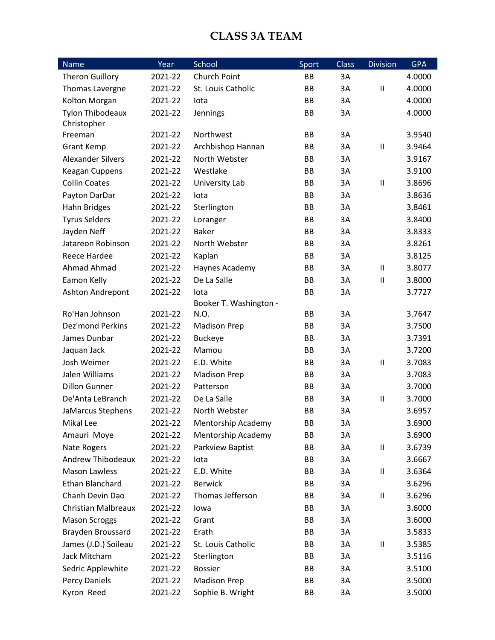#### **CLASS 3A TEAM**

| <b>Name</b>                | Year    | School                 | Sport     | <b>Class</b> | <b>Division</b>            | <b>GPA</b> |
|----------------------------|---------|------------------------|-----------|--------------|----------------------------|------------|
| <b>Theron Guillory</b>     | 2021-22 | Church Point           | <b>BB</b> | 3A           |                            | 4.0000     |
| Thomas Lavergne            | 2021-22 | St. Louis Catholic     | BB        | 3A           | $\ensuremath{\mathsf{II}}$ | 4.0000     |
| Kolton Morgan              | 2021-22 | lota                   | BB        | 3A           |                            | 4.0000     |
| <b>Tylon Thibodeaux</b>    | 2021-22 | Jennings               | BB        | 3A           |                            | 4.0000     |
| Christopher                |         |                        |           |              |                            |            |
| Freeman                    | 2021-22 | Northwest              | BB        | 3A           |                            | 3.9540     |
| <b>Grant Kemp</b>          | 2021-22 | Archbishop Hannan      | BB        | 3A           | $\sf II$                   | 3.9464     |
| <b>Alexander Silvers</b>   | 2021-22 | North Webster          | BB        | 3A           |                            | 3.9167     |
| Keagan Cuppens             | 2021-22 | Westlake               | BB        | 3A           |                            | 3.9100     |
| <b>Collin Coates</b>       | 2021-22 | University Lab         | BB        | 3A           | $\sf II$                   | 3.8696     |
| Payton DarDar              | 2021-22 | lota                   | BB        | 3A           |                            | 3.8636     |
| Hahn Bridges               | 2021-22 | Sterlington            | BB        | 3A           |                            | 3.8461     |
| <b>Tyrus Selders</b>       | 2021-22 | Loranger               | BB        | 3A           |                            | 3.8400     |
| Jayden Neff                | 2021-22 | <b>Baker</b>           | BB        | 3A           |                            | 3.8333     |
| Jatareon Robinson          | 2021-22 | North Webster          | BB        | 3A           |                            | 3.8261     |
| Reece Hardee               | 2021-22 | Kaplan                 | BB        | 3A           |                            | 3.8125     |
| <b>Ahmad Ahmad</b>         | 2021-22 | Haynes Academy         | BB        | 3A           | $\mathbf{I}$               | 3.8077     |
| Eamon Kelly                | 2021-22 | De La Salle            | BB        | 3A           | $\sf II$                   | 3.8000     |
| Ashton Andrepont           | 2021-22 | lota                   | <b>BB</b> | 3A           |                            | 3.7727     |
|                            |         | Booker T. Washington - |           |              |                            |            |
| Ro'Han Johnson             | 2021-22 | N.O.                   | BB        | 3A           |                            | 3.7647     |
| <b>Dez'mond Perkins</b>    | 2021-22 | <b>Madison Prep</b>    | BB        | 3A           |                            | 3.7500     |
| James Dunbar               | 2021-22 | <b>Buckeye</b>         | BB        | 3A           |                            | 3.7391     |
| Jaquan Jack                | 2021-22 | Mamou                  | BB        | 3A           |                            | 3.7200     |
| Josh Weimer                | 2021-22 | E.D. White             | BB        | 3A           | $\sf II$                   | 3.7083     |
| Jalen Williams             | 2021-22 | <b>Madison Prep</b>    | BB        | 3A           |                            | 3.7083     |
| <b>Dillon Gunner</b>       | 2021-22 | Patterson              | BB        | 3A           |                            | 3.7000     |
| De'Anta LeBranch           | 2021-22 | De La Salle            | BB        | 3A           | $\sf II$                   | 3.7000     |
| JaMarcus Stephens          | 2021-22 | North Webster          | BB        | 3A           |                            | 3.6957     |
| Mikal Lee                  | 2021-22 | Mentorship Academy     | ВB        | 3A           |                            | 3.6900     |
| Amauri Moye                | 2021-22 | Mentorship Academy     | BB        | 3A           |                            | 3.6900     |
| <b>Nate Rogers</b>         | 2021-22 | Parkview Baptist       | BB        | 3A           | $\sf II$                   | 3.6739     |
| Andrew Thibodeaux          | 2021-22 | lota                   | BB        | 3A           |                            | 3.6667     |
| <b>Mason Lawless</b>       | 2021-22 | E.D. White             | BB        | 3A           | $\mathbf{I}$               | 3.6364     |
| <b>Ethan Blanchard</b>     | 2021-22 | <b>Berwick</b>         | BB        | 3A           |                            | 3.6296     |
| Chanh Devin Dao            | 2021-22 | Thomas Jefferson       | BB        | 3A           | $\sf II$                   | 3.6296     |
| <b>Christian Malbreaux</b> | 2021-22 | lowa                   | BB        | 3A           |                            | 3.6000     |
| <b>Mason Scroggs</b>       | 2021-22 | Grant                  | BB        | 3A           |                            | 3.6000     |
| Brayden Broussard          | 2021-22 | Erath                  | BB        | 3A           |                            | 3.5833     |
| James (J.D.) Soileau       | 2021-22 | St. Louis Catholic     | ВB        | 3A           | $\sf II$                   | 3.5385     |
| Jack Mitcham               | 2021-22 | Sterlington            | BB        | 3A           |                            | 3.5116     |
| Sedric Applewhite          | 2021-22 | <b>Bossier</b>         | BB        | 3A           |                            | 3.5100     |
| Percy Daniels              | 2021-22 | <b>Madison Prep</b>    | BB        | 3A           |                            | 3.5000     |
| Kyron Reed                 | 2021-22 | Sophie B. Wright       | ВB        | 3A           |                            | 3.5000     |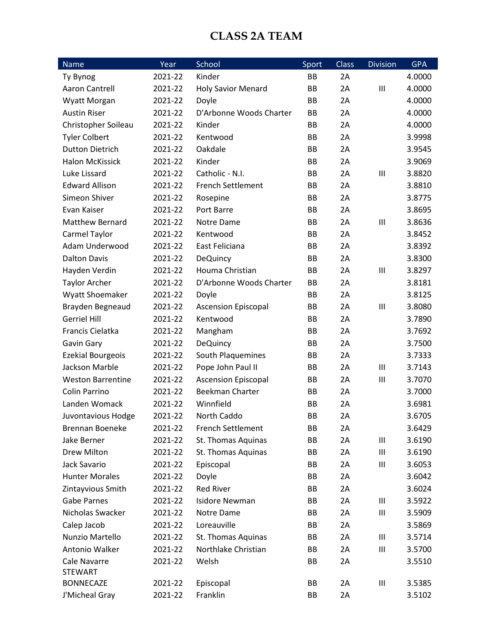#### **CLASS 2A TEAM**

| Name                     | Year    | School                     | Sport     | Class | <b>Division</b>  | <b>GPA</b> |
|--------------------------|---------|----------------------------|-----------|-------|------------------|------------|
| Ty Bynog                 | 2021-22 | Kinder                     | BB        | 2A    |                  | 4.0000     |
| Aaron Cantrell           | 2021-22 | <b>Holy Savior Menard</b>  | BB        | 2A    | Ш                | 4.0000     |
| <b>Wyatt Morgan</b>      | 2021-22 | Doyle                      | <b>BB</b> | 2A    |                  | 4.0000     |
| <b>Austin Riser</b>      | 2021-22 | D'Arbonne Woods Charter    | <b>BB</b> | 2A    |                  | 4.0000     |
| Christopher Soileau      | 2021-22 | Kinder                     | <b>BB</b> | 2A    |                  | 4.0000     |
| <b>Tyler Colbert</b>     | 2021-22 | Kentwood                   | BB        | 2A    |                  | 3.9998     |
| <b>Dutton Dietrich</b>   | 2021-22 | Oakdale                    | BB        | 2A    |                  | 3.9545     |
| <b>Halon McKissick</b>   | 2021-22 | Kinder                     | BB        | 2A    |                  | 3.9069     |
| Luke Lissard             | 2021-22 | Catholic - N.I.            | BB        | 2A    | Ш                | 3.8820     |
| <b>Edward Allison</b>    | 2021-22 | <b>French Settlement</b>   | BB        | 2A    |                  | 3.8810     |
| Simeon Shiver            | 2021-22 | Rosepine                   | <b>BB</b> | 2A    |                  | 3.8775     |
| Evan Kaiser              | 2021-22 | Port Barre                 | BB        | 2A    |                  | 3.8695     |
| <b>Matthew Bernard</b>   | 2021-22 | Notre Dame                 | BB        | 2A    | $\mathbf{III}$   | 3.8636     |
| Carmel Taylor            | 2021-22 | Kentwood                   | BB        | 2A    |                  | 3.8452     |
| Adam Underwood           | 2021-22 | East Feliciana             | BB        | 2A    |                  | 3.8392     |
| <b>Dalton Davis</b>      | 2021-22 | <b>DeQuincy</b>            | BB        | 2A    |                  | 3.8300     |
| Hayden Verdin            | 2021-22 | Houma Christian            | <b>BB</b> | 2A    | $\mathbf{III}$   | 3.8297     |
| <b>Taylor Archer</b>     | 2021-22 | D'Arbonne Woods Charter    | BB        | 2A    |                  | 3.8181     |
| Wyatt Shoemaker          | 2021-22 | Doyle                      | BB        | 2A    |                  | 3.8125     |
| Brayden Begneaud         | 2021-22 | <b>Ascension Episcopal</b> | BB        | 2A    | $\mathbf{III}$   | 3.8080     |
| <b>Gerriel Hill</b>      | 2021-22 | Kentwood                   | <b>BB</b> | 2A    |                  | 3.7890     |
| Francis Cielatka         | 2021-22 | Mangham                    | BB        | 2A    |                  | 3.7692     |
| Gavin Gary               | 2021-22 | <b>DeQuincy</b>            | BB        | 2A    |                  | 3.7500     |
| <b>Ezekial Bourgeois</b> | 2021-22 | South Plaquemines          | BB        | 2A    |                  | 3.7333     |
| Jackson Marble           | 2021-22 | Pope John Paul II          | BB        | 2A    | $\mathbf{III}$   | 3.7143     |
| <b>Weston Barrentine</b> | 2021-22 | <b>Ascension Episcopal</b> | BB        | 2A    | $\mathsf{III}\,$ | 3.7070     |
| Colin Parrino            | 2021-22 | <b>Beekman Charter</b>     | BB        | 2A    |                  | 3.7000     |
| Landen Womack            | 2021-22 | Winnfield                  | <b>BB</b> | 2A    |                  | 3.6981     |
| Juvontavious Hodge       | 2021-22 | North Caddo                | BB        | 2A    |                  | 3.6705     |
| Brennan Boeneke          | 2021-22 | French Settlement          | BB        | 2A    |                  | 3.6429     |
| Jake Berner              | 2021-22 | St. Thomas Aquinas         | BB        | 2A    | Ш                | 3.6190     |
| Drew Milton              | 2021-22 | St. Thomas Aquinas         | BB        | 2A    | $\mathbf{III}$   | 3.6190     |
| Jack Savario             | 2021-22 | Episcopal                  | BB        | 2A    | Ш                | 3.6053     |
| <b>Hunter Morales</b>    | 2021-22 | Doyle                      | BB        | 2A    |                  | 3.6042     |
| Zintayvious Smith        | 2021-22 | <b>Red River</b>           | BB        | 2A    |                  | 3.6024     |
| <b>Gabe Parnes</b>       | 2021-22 | <b>Isidore Newman</b>      | BB        | 2A    | Ш                | 3.5922     |
| Nicholas Swacker         | 2021-22 | Notre Dame                 | BB        | 2A    | $\mathbf{III}$   | 3.5909     |
| Calep Jacob              | 2021-22 | Loreauville                | BB        | 2A    |                  | 3.5869     |
| Nunzio Martello          | 2021-22 | St. Thomas Aquinas         | BB        | 2A    | Ш                | 3.5714     |
| Antonio Walker           | 2021-22 | Northlake Christian        | BB        | 2A    | Ш                | 3.5700     |
| Cale Navarre             | 2021-22 | Welsh                      | BB        | 2A    |                  | 3.5510     |
| <b>STEWART</b>           |         |                            |           |       |                  |            |
| <b>BONNECAZE</b>         | 2021-22 | Episcopal                  | BB        | 2A    | Ш                | 3.5385     |
| J'Micheal Gray           | 2021-22 | Franklin                   | BB        | 2A    |                  | 3.5102     |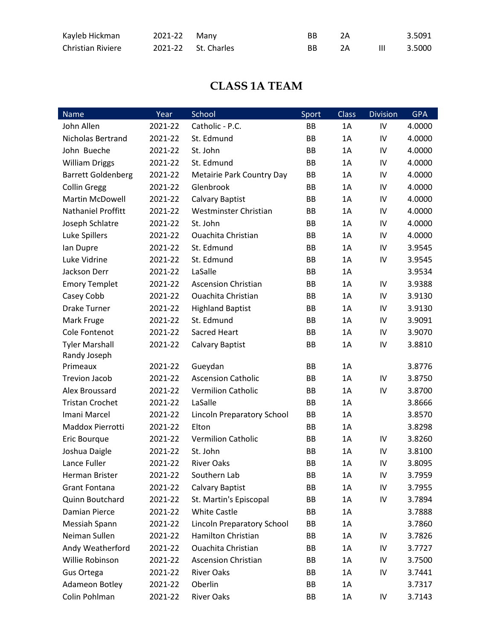| Kayleb Hickman           | 2021-22 Many        | BB. |    |              | 3.5091 |
|--------------------------|---------------------|-----|----|--------------|--------|
| <b>Christian Riviere</b> | 2021-22 St. Charles | BB. | 7A | $\mathbf{H}$ | 3.5000 |

### **CLASS 1A TEAM**

| Name                      | Year    | School                            | Sport     | <b>Class</b> | <b>Division</b> | <b>GPA</b> |
|---------------------------|---------|-----------------------------------|-----------|--------------|-----------------|------------|
| John Allen                | 2021-22 | Catholic - P.C.                   | <b>BB</b> | 1A           | IV              | 4.0000     |
| <b>Nicholas Bertrand</b>  | 2021-22 | St. Edmund                        | <b>BB</b> | 1A           | IV              | 4.0000     |
| John Bueche               | 2021-22 | St. John                          | BB        | 1A           | IV              | 4.0000     |
| <b>William Driggs</b>     | 2021-22 | St. Edmund                        | BB        | 1A           | IV              | 4.0000     |
| <b>Barrett Goldenberg</b> | 2021-22 | <b>Metairie Park Country Day</b>  | <b>BB</b> | 1A           | IV              | 4.0000     |
| <b>Collin Gregg</b>       | 2021-22 | Glenbrook                         | <b>BB</b> | 1A           | IV              | 4.0000     |
| Martin McDowell           | 2021-22 | Calvary Baptist                   | BB        | 1A           | IV              | 4.0000     |
| <b>Nathaniel Proffitt</b> | 2021-22 | Westminster Christian             | BB        | 1A           | IV              | 4.0000     |
| Joseph Schlatre           | 2021-22 | St. John                          | BB        | 1A           | IV              | 4.0000     |
| Luke Spillers             | 2021-22 | <b>Ouachita Christian</b>         | <b>BB</b> | 1A           | IV              | 4.0000     |
| lan Dupre                 | 2021-22 | St. Edmund                        | BB        | 1A           | IV              | 3.9545     |
| Luke Vidrine              | 2021-22 | St. Edmund                        | BB        | 1A           | IV              | 3.9545     |
| Jackson Derr              | 2021-22 | LaSalle                           | BB        | 1A           |                 | 3.9534     |
| <b>Emory Templet</b>      | 2021-22 | <b>Ascension Christian</b>        | <b>BB</b> | 1A           | IV              | 3.9388     |
| Casey Cobb                | 2021-22 | <b>Ouachita Christian</b>         | BB        | 1A           | IV              | 3.9130     |
| <b>Drake Turner</b>       | 2021-22 | <b>Highland Baptist</b>           | BB        | 1A           | IV              | 3.9130     |
| Mark Fruge                | 2021-22 | St. Edmund                        | BB        | 1A           | IV              | 3.9091     |
| Cole Fontenot             | 2021-22 | Sacred Heart                      | BB        | 1A           | IV              | 3.9070     |
| <b>Tyler Marshall</b>     | 2021-22 | <b>Calvary Baptist</b>            | BB        | 1A           | IV              | 3.8810     |
| Randy Joseph              |         |                                   |           |              |                 |            |
| Primeaux                  | 2021-22 | Gueydan                           | BB        | 1A           |                 | 3.8776     |
| <b>Trevion Jacob</b>      | 2021-22 | <b>Ascension Catholic</b>         | BB        | 1A           | IV              | 3.8750     |
| Alex Broussard            | 2021-22 | <b>Vermilion Catholic</b>         | BB        | 1A           | IV              | 3.8700     |
| <b>Tristan Crochet</b>    | 2021-22 | LaSalle                           | BB        | 1A           |                 | 3.8666     |
| Imani Marcel              | 2021-22 | Lincoln Preparatory School        | BB        | 1A           |                 | 3.8570     |
| Maddox Pierrotti          | 2021-22 | Elton                             | BB        | 1A           |                 | 3.8298     |
| Eric Bourque              | 2021-22 | <b>Vermilion Catholic</b>         | BB        | 1A           | IV              | 3.8260     |
| Joshua Daigle             | 2021-22 | St. John                          | BB        | 1A           | IV              | 3.8100     |
| Lance Fuller              | 2021-22 | <b>River Oaks</b>                 | BB        | 1A           | IV              | 3.8095     |
| Herman Brister            | 2021-22 | Southern Lab                      | ВB        | 1A           | IV              | 3.7959     |
| <b>Grant Fontana</b>      | 2021-22 | <b>Calvary Baptist</b>            | ВB        | 1A           | IV              | 3.7955     |
| Quinn Boutchard           | 2021-22 | St. Martin's Episcopal            | ВB        | 1A           | IV              | 3.7894     |
| Damian Pierce             | 2021-22 | White Castle                      | BB        | 1A           |                 | 3.7888     |
| Messiah Spann             | 2021-22 | <b>Lincoln Preparatory School</b> | ВB        | 1A           |                 | 3.7860     |
| Neiman Sullen             | 2021-22 | <b>Hamilton Christian</b>         | ВB        | 1A           | IV              | 3.7826     |
| Andy Weatherford          | 2021-22 | Ouachita Christian                | ВB        | 1A           | IV              | 3.7727     |
| Willie Robinson           | 2021-22 | <b>Ascension Christian</b>        | BB        | 1A           | IV              | 3.7500     |
| Gus Ortega                | 2021-22 | <b>River Oaks</b>                 | BB        | 1A           | IV              | 3.7441     |
| Adameon Botley            | 2021-22 | Oberlin                           | ВB        | 1A           |                 | 3.7317     |
| Colin Pohlman             | 2021-22 | <b>River Oaks</b>                 | BB        | 1A           | IV              | 3.7143     |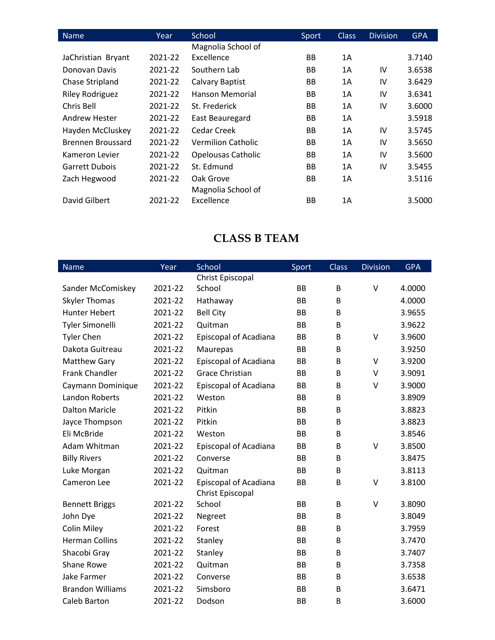| Name                   | Year    | School                    | Sport     | <b>Class</b> | <b>Division</b> | <b>GPA</b> |
|------------------------|---------|---------------------------|-----------|--------------|-----------------|------------|
|                        |         | Magnolia School of        |           |              |                 |            |
| JaChristian Bryant     | 2021-22 | Excellence                | <b>BB</b> | 1A           |                 | 3.7140     |
| Donovan Davis          | 2021-22 | Southern Lab              | BB        | 1A           | IV              | 3.6538     |
| Chase Stripland        | 2021-22 | Calvary Baptist           | <b>BB</b> | 1A           | IV              | 3.6429     |
| <b>Riley Rodriguez</b> | 2021-22 | Hanson Memorial           | BB        | 1A           | IV              | 3.6341     |
| Chris Bell             | 2021-22 | St. Frederick             | <b>BB</b> | 1A           | IV              | 3.6000     |
| Andrew Hester          | 2021-22 | East Beauregard           | BB        | 1A           |                 | 3.5918     |
| Hayden McCluskey       | 2021-22 | <b>Cedar Creek</b>        | <b>BB</b> | 1A           | IV              | 3.5745     |
| Brennen Broussard      | 2021-22 | Vermilion Catholic        | <b>BB</b> | 1A           | IV              | 3.5650     |
| Kameron Levier         | 2021-22 | <b>Opelousas Catholic</b> | <b>BB</b> | 1A           | IV              | 3.5600     |
| <b>Garrett Dubois</b>  | 2021-22 | St. Edmund                | <b>BB</b> | 1A           | IV              | 3.5455     |
| Zach Hegwood           | 2021-22 | Oak Grove                 | <b>BB</b> | 1A           |                 | 3.5116     |
|                        |         | Magnolia School of        |           |              |                 |            |
| David Gilbert          | 2021-22 | Excellence                | BB        | 1A           |                 | 3.5000     |

## **CLASS B TEAM**

| <b>Name</b>             | Year    | School                       | Sport     | <b>Class</b> | <b>Division</b> | <b>GPA</b> |
|-------------------------|---------|------------------------------|-----------|--------------|-----------------|------------|
|                         |         | Christ Episcopal             |           |              |                 |            |
| Sander McComiskey       | 2021-22 | School                       | <b>BB</b> | B            | V               | 4.0000     |
| <b>Skyler Thomas</b>    | 2021-22 | Hathaway                     | <b>BB</b> | B            |                 | 4.0000     |
| <b>Hunter Hebert</b>    | 2021-22 | <b>Bell City</b>             | <b>BB</b> | B            |                 | 3.9655     |
| Tyler Simonelli         | 2021-22 | Quitman                      | <b>BB</b> | B            |                 | 3.9622     |
| <b>Tyler Chen</b>       | 2021-22 | <b>Episcopal of Acadiana</b> | <b>BB</b> | B            | $\vee$          | 3.9600     |
| Dakota Guitreau         | 2021-22 | Maurepas                     | <b>BB</b> | B            |                 | 3.9250     |
| <b>Matthew Gary</b>     | 2021-22 | <b>Episcopal of Acadiana</b> | <b>BB</b> | B            | V               | 3.9200     |
| <b>Frank Chandler</b>   | 2021-22 | <b>Grace Christian</b>       | <b>BB</b> | B            | $\vee$          | 3.9091     |
| Caymann Dominique       | 2021-22 | Episcopal of Acadiana        | <b>BB</b> | B            | $\vee$          | 3.9000     |
| Landon Roberts          | 2021-22 | Weston                       | <b>BB</b> | B            |                 | 3.8909     |
| <b>Dalton Maricle</b>   | 2021-22 | Pitkin                       | <b>BB</b> | B            |                 | 3.8823     |
| Jayce Thompson          | 2021-22 | Pitkin                       | <b>BB</b> | B            |                 | 3.8823     |
| Eli McBride             | 2021-22 | Weston                       | <b>BB</b> | B            |                 | 3.8546     |
| Adam Whitman            | 2021-22 | Episcopal of Acadiana        | <b>BB</b> | B            | V               | 3.8500     |
| <b>Billy Rivers</b>     | 2021-22 | Converse                     | <b>BB</b> | B            |                 | 3.8475     |
| Luke Morgan             | 2021-22 | Quitman                      | <b>BB</b> | B            |                 | 3.8113     |
| Cameron Lee             | 2021-22 | <b>Episcopal of Acadiana</b> | <b>BB</b> | B            | V               | 3.8100     |
|                         |         | Christ Episcopal             |           |              |                 |            |
| <b>Bennett Briggs</b>   | 2021-22 | School                       | <b>BB</b> | B            | V               | 3.8090     |
| John Dye                | 2021-22 | Negreet                      | <b>BB</b> | B            |                 | 3.8049     |
| Colin Miley             | 2021-22 | Forest                       | <b>BB</b> | B            |                 | 3.7959     |
| <b>Herman Collins</b>   | 2021-22 | Stanley                      | <b>BB</b> | B            |                 | 3.7470     |
| Shacobi Gray            | 2021-22 | Stanley                      | <b>BB</b> | B            |                 | 3.7407     |
| Shane Rowe              | 2021-22 | Quitman                      | <b>BB</b> | B            |                 | 3.7358     |
| Jake Farmer             | 2021-22 | Converse                     | <b>BB</b> | B            |                 | 3.6538     |
| <b>Brandon Williams</b> | 2021-22 | Simsboro                     | <b>BB</b> | B            |                 | 3.6471     |
| <b>Caleb Barton</b>     | 2021-22 | Dodson                       | <b>BB</b> | B            |                 | 3.6000     |